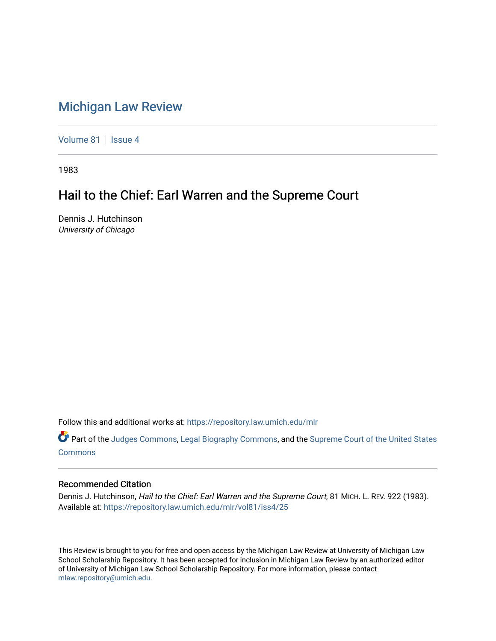# [Michigan Law Review](https://repository.law.umich.edu/mlr)

[Volume 81](https://repository.law.umich.edu/mlr/vol81) | [Issue 4](https://repository.law.umich.edu/mlr/vol81/iss4)

1983

## Hail to the Chief: Earl Warren and the Supreme Court

Dennis J. Hutchinson University of Chicago

Follow this and additional works at: [https://repository.law.umich.edu/mlr](https://repository.law.umich.edu/mlr?utm_source=repository.law.umich.edu%2Fmlr%2Fvol81%2Fiss4%2F25&utm_medium=PDF&utm_campaign=PDFCoverPages) 

Part of the [Judges Commons,](http://network.bepress.com/hgg/discipline/849?utm_source=repository.law.umich.edu%2Fmlr%2Fvol81%2Fiss4%2F25&utm_medium=PDF&utm_campaign=PDFCoverPages) [Legal Biography Commons,](http://network.bepress.com/hgg/discipline/834?utm_source=repository.law.umich.edu%2Fmlr%2Fvol81%2Fiss4%2F25&utm_medium=PDF&utm_campaign=PDFCoverPages) and the Supreme Court of the United States [Commons](http://network.bepress.com/hgg/discipline/1350?utm_source=repository.law.umich.edu%2Fmlr%2Fvol81%2Fiss4%2F25&utm_medium=PDF&utm_campaign=PDFCoverPages)

### Recommended Citation

Dennis J. Hutchinson, Hail to the Chief: Earl Warren and the Supreme Court, 81 MICH. L. REV. 922 (1983). Available at: [https://repository.law.umich.edu/mlr/vol81/iss4/25](https://repository.law.umich.edu/mlr/vol81/iss4/25?utm_source=repository.law.umich.edu%2Fmlr%2Fvol81%2Fiss4%2F25&utm_medium=PDF&utm_campaign=PDFCoverPages) 

This Review is brought to you for free and open access by the Michigan Law Review at University of Michigan Law School Scholarship Repository. It has been accepted for inclusion in Michigan Law Review by an authorized editor of University of Michigan Law School Scholarship Repository. For more information, please contact [mlaw.repository@umich.edu.](mailto:mlaw.repository@umich.edu)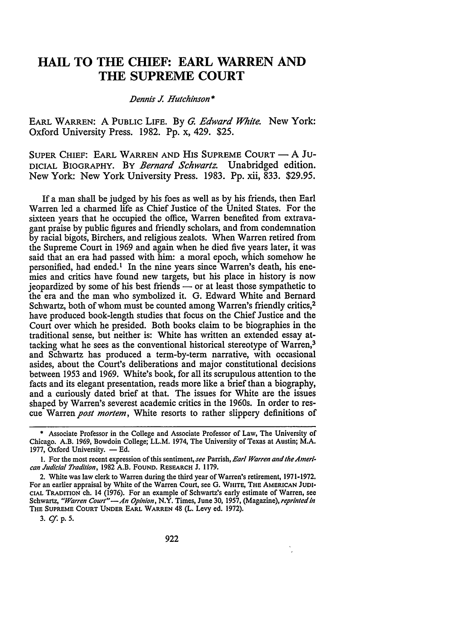## **HAIL TO THE CHIEF: EARL WARREN AND THE SUPREME COURT**

*Dennis J. Hutchinson\** 

EARL WARREN: A PUBLIC LIFE. By *G. Edward White.* New York: Oxford University Press. 1982. Pp. x, 429. \$25.

SUPER CHIEF: EARL WARREN AND HIS SUPREME COURT - A JU-DICIAL BIOGRAPHY. BY *Bernard Schwartz.* Unabridged edition. New York: New York University Press. 1983. Pp. xii, 833. \$29.95.

If a man shall be judged by his foes as well as by his friends, then Earl Warren led a charmed life as Chief Justice of the United States. For the sixteen years that he occupied the office, Warren benefited from extravagant praise by public figures and friendly scholars, and from condemnation by racial bigots, Birchers, and religious zealots. When Warren retired from the Supreme Court in 1969 and again when he died five years later, it was said that an era had passed with him: a moral epoch, which somehow he personified, had ended.<sup>1</sup> In the nine years since Warren's death, his enemies and critics have found new targets, but his place in history is now jeopardized by some of his best friends — or at least those sympathetic to the era and the man who symbolized it. G. Edward White and Bernard Schwartz, both of whom must be counted among Warren's friendly critics,2 have produced book-length studies that focus on the Chief Justice and the Court over which he presided. Both books claim to be biographies in the traditional sense, but neither is: White has written an extended essay attacking what he sees as the conventional historical stereotype of Warren,3 and Schwartz has produced a term-by-term narrative, with occasional asides, about the Court's deliberations and major constitutional decisions between 1953 and 1969. White's book, for all its scrupulous attention to the facts and its elegant presentation, reads more like a brief than a biography, and a curiously dated brief at that. The issues for White are the issues shaped by Warren's severest academic critics in the 1960s. In order to rescue Warren *post mortem,* White resorts to rather slippery definitions of

3. *Cf.* p. *5.* 

<sup>•</sup> Associate Professor in the College and Associate Professor of Law, The University of Chicago. A.B. 1969, Bowdoin College; LL.M. 1974, The University of Texas at Austin; **M.A.**  1977, Oxford University. - Ed.

I. For the most recent expression of this sentiment, *see* Parrish, *Earl Warren and the Amer/• can Judicial Tradition,* 1982 A.B. FOUND. RESEARCH J. 1179.

<sup>2.</sup> White was law clerk to Warren during the third year of Warren's retirement, 1971-1972. For an earlier appraisal by White of the Warren Court, see G. WHITE, THE AMERICAN JUDI· CIAL TRADITION ch. 14 (1976). For an example of Schwartz's early estimate of Warren, see Schwartz, "Warren Court"-- An Opinion, N.Y. Times, June 30, 1957, (Magazine), reprinted in THE SUPREME COURT UNDER EARL WARREN 48 (L. Levy ed. 1972).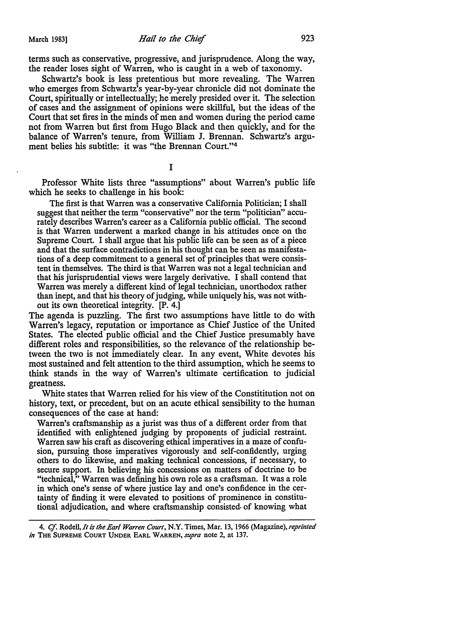terms such as conservative, progressive, and jurisprudence. Along the way, the reader loses sight of Warren, who is caught in a web of taxonomy.

Schwartz's book is less pretentious but more revealing. The Warren who emerges from Schwartz's year-by-year chronicle did not dominate the Court, spiritually or intellectually; he merely presided over it. The selection of cases and the assignment of opinions were skillful, but the ideas of the Court that set fires in the minds of men and women during the period came not from Warren but first from Hugo Black and then quickly, and for the balance of Warren's tenure, from William J. Brennan. Schwartz's argument belies his subtitle: it was "the Brennan Court."<sup>4</sup>

I

Professor White lists three "assumptions" about Warren's public life which he seeks to challenge in his book:

The first is that Warren was a conservative California Politician; I shall suggest that neither the term "conservative" nor the term "politician" accurately describes Warren's career as a California public official. The second is that Warren underwent a marked change in his attitudes once on the Supreme Court. I shall argue that his public life can be seen as of a piece and that the surface contradictions in his thought can be seen as manifestations of a deep commitment to a general set of principles that were consistent in themselves. The third is that Warren was not a legal technician and that his jurisprudential views were largely derivative. I shall contend that Warren was merely a different kind of legal technician, unorthodox rather than inept, and that his theory of judging, while uniquely his, was not without its own theoretical integrity. [P. 4.]

The agenda is puzzling. The first two assumptions have little to do with Warren's legacy, reputation or importance as Chief Justice of the United States. The elected public official and the Chief Justice presumably have different roles and responsibilities, so the relevance of the relationship between the two is not immediately clear. In any event, White devotes his most sustained and felt attention to the third assumption, which he seems to think stands in the way of Warren's ultimate certification to judicial greatness.

White states that Warren relied for his view of the Constititution not on history, text, or precedent, but on an acute ethical sensibility to the human consequences of the case at hand:

Warren's craftsmanship as a jurist was thus of a different order from that identified with enlightened judging by proponents of judicial restraint. Warren saw his craft as discovering ethical imperatives in a maze of confusion, pursuing those imperatives vigorously and self-confidently, urging others to do likewise, and making technical concessions, if necessary, to secure support. In believing his concessions on matters of doctrine to be "technical," Warren was defining his own role as a craftsman. It was a role in which one's sense of where justice lay and one's confidence in the certainty of finding it were elevated to positions of prominence in constitutional adjudication, and where craftsmanship consisted- of knowing what

<sup>4.</sup> Cf. Rodell, It is the Earl Warren Court, N.Y. Times, Mar. 13, 1966 (Magazine), reprinted *in* THE SUPREME COURT UNDER EARL WARREN, *supra* note 2, at 137.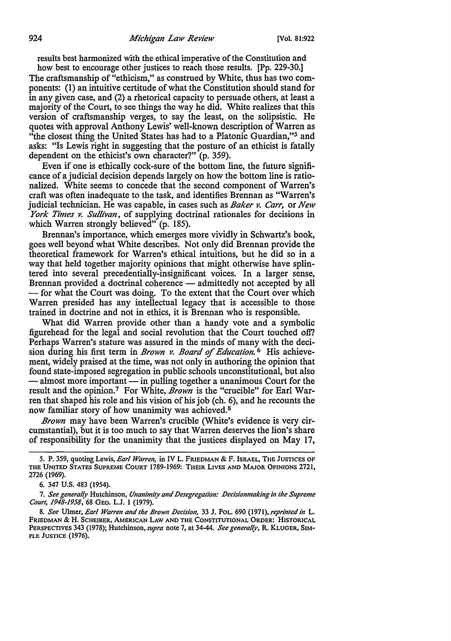results best harmonized with the ethical imperative of the Constitution and how best to encourage other justices to reach those results. [Pp. 229-30.]

The craftsmanship of "ethicism," as construed by White, thus has two components: (1) an intuitive certitude of what the Constitution should stand for in any given case, and (2) a rhetorical capacity to persuade others, at least a majority of the Court, to see things the way he did. White realizes that this version of craftsmanship verges, to say the least, on the solipsistic. He quotes with approval Anthony Lewis' well-known description of Warren as "the closest thing the United States has had to a Platonic Guardian,"<sup>5</sup>and asks: "Is Lewis right in suggesting that the posture of an ethicist is fatally dependent on the ethicist's own character?" (p. 359).

Even if one is ethically cock-sure of the bottom line, the future significance of a judicial decision depends largely on how the bottom line is rationalized. White seems to concede that the second component of Warren's craft was often inadequate to the task, and identifies Brennan as "Warren's judicial technician. He was capable, in cases such as *Baker v. Carr,* or *New York Times v. Sullivan,* of supplying doctrinal rationales for decisions in which Warren strongly believed" (p. 185).

Brennan's importance, which emerges more vividly in Schwartz's book, goes well beyond what White describes. Not only did Brennan provide the theoretical framework for Warren's ethical intuitions, but he did so in a way that held together majority opinions that might otherwise have splintered into several precedentially-insignificant voices. In a larger sense, Brennan provided a doctrinal coherence - admittedly not accepted by all - for what the Court was doing. To the extent that the Court over which Warren presided has any intellectual legacy that is accessible to those trained in doctrine and not in ethics, it is Brennan who is responsible.

What did Warren provide other than a handy vote and a symbolic figurehead for the legal and social revolution that the Court touched off? Perhaps Warren's stature was assured in the minds of many with the decision during his first term in *Brown v. Board of Education.* 6 His achievement, widely praised at the time, was not only in authoring the opinion that found state-imposed segregation in public schools unconstitutional, but also  $-$  almost more important  $-$  in pulling together a unanimous Court for the result and the opinion.7 For White, *Brown* is the "crucible" for Earl Warren that shaped his role and his vision of his job (ch. 6), and he recounts the now familiar story of how unanimity was achieved.<sup>8</sup>

*Brown* may have been Warren's crucible (White's evidence is very circumstantial), but it is too much to say that Warren deserves the lion's share of responsibility for the unanimity that the justices displayed on May 17,

<sup>5.</sup> P. 359, quoting Lewis, *Earl Warren,* in IV L. FRIEDMAN & F. ISRAEL, THE JUSTICES OF THE UNITED STATES SUPREME COURT 1789-1969: THEIR LIVES AND MAJOR OPINIONS 2721, 2726 (1969).

<sup>6. 347</sup> U.S. 483 (1954).

<sup>7.</sup> *See generally* Hutchinson, *Unanimity and Desegregation: Decisionmaking in the Supreme Court, 1948-1958,* 68 Geo. L.J. I (1979).

<sup>8.</sup> *See* Ulmer, *Earl Warren and the Brown Decision,* 33 **J.** POL. 690 (1971), *reprinted in* L. FRIEDMAN & **H.** SCHEIBER, AMERICAN LAW AND THE CONSTITUTIONAL ORDER: HISTORICAL PERSPECTIVES 343 (1978); Hutchinson, *supra* note 7, at 34-44. *See generally*, R. KLUGER, SIM-PLE JUSTICE (1976).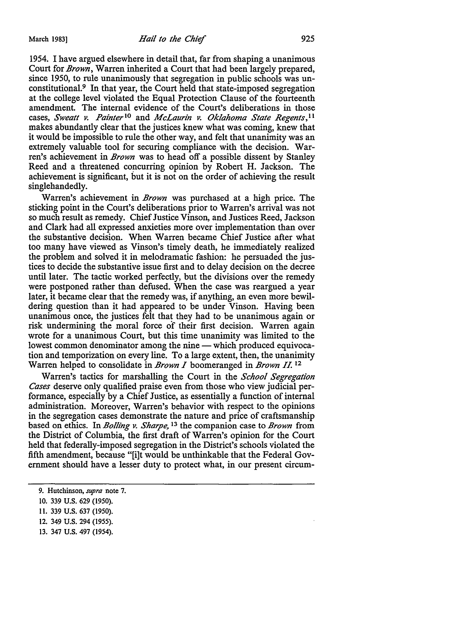1954. I have argued elsewhere in detail that, far from shaping a unanimous Court for *Brown,* Warren inherited a Court that had been largely prepared, since 1950, to rule unanimously that segregation in public schools was unconstitutional.9 In that year, the Court held that state-imposed segregation at the college level violated the Equal Protection Clause of the fourteenth amendment. The internal evidence of the Court's deliberations in those cases, *Sweatt v. Painter <sup>10</sup>*and *McLaurin v. Oklahoma State Regents, <sup>11</sup>* makes abundantly clear that the justices knew what was coming, knew that it would be impossible to rule the other way, and felt that unanimity was an extremely valuable tool for securing compliance with the decision. Warren's achievement in *Brown* was to head off a possible dissent by Stanley Reed and a threatened concurring opinion by Robert H. Jackson. The achievement is significant, but it is not on the order of achieving the result singlehandedly.

Warren's achievement in *Brown* was purchased at a high price. The sticking point in the Court's deliberations prior to Warren's arrival was not so much result as remedy. Chief Justice Vinson, and Justices Reed, Jackson and Clark had all expressed anxieties more over implementation than over the substantive decision. When Warren became Chief Justice after what too many have viewed as Vinson's timely death, he immediately realized the problem and solved it in melodramatic fashion: he persuaded the justices to decide the substantive issue first and to delay decision on the decree until later. The tactic worked perfectly, but the divisions over the remedy were postponed rather than defused. When the case was reargued a year later, it became clear that the remedy was, if anything, an even more bewildering question than it had appeared to be under Vinson. Having been unanimous once, the justices felt that they had to be unanimous again or risk undermining the moral force of their first decision. Warren again wrote for a unanimous Court, but this time unanimity was limited to the lowest common denominator among the nine — which produced equivocation and temporization on every line. To a large extent, then, the unanimity Warren helped to consolidate in *Brown I* boomeranged in *Brown IL* <sup>12</sup>

Warren's tactics for marshalling the Court in the *School Segregation Cases* deserve only qualified praise even from those who view judicial performance, especially by a Chief Justice, as essentially a function of internal administration. Moreover, Warren's behavior with respect to the opinions in the segregation cases demonstrate the nature and price of craftsmanship based on ethics. In *Bolling v. Sharpe,* 13 the companion case to *Brown* from the District of Columbia, the first draft of Warren's opinion for the Court held that federally-imposed segregation in the District's schools violated the fifth amendment, because "[i]t would be unthinkable that the Federal Government should have a lesser duty to protect what, in our present circum-

13. 347 U.S. 497 (1954).

<sup>9.</sup> Hutchinson, *supra* note 7.

<sup>10. 339</sup> U.S. 629 (1950).

<sup>11. 339</sup> U.S. 637 (1950).

<sup>12. 349</sup> U.S. 294 (1955).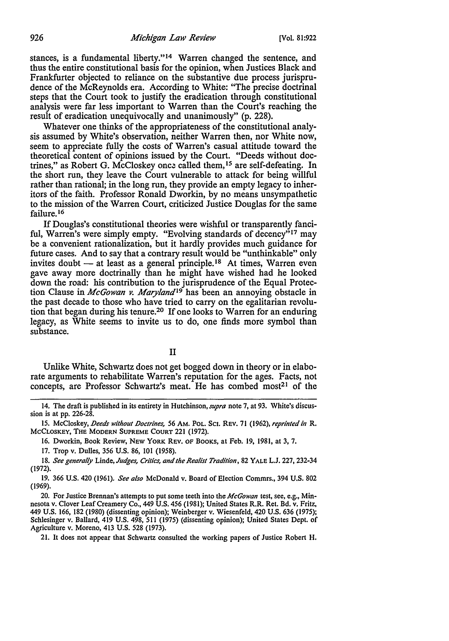stances, is a fundamental liberty."<sup>14</sup> Warren changed the sentence, and thus the entire constitutional basis for the opinion, when Justices Black and Frankfurter objected to reliance on the substantive due process jurisprudence of the McReynolds era. According to White: "The precise doctrinal steps that the Court took to justify the eradication through constitutional analysis were far less important to Warren than the Court's reaching the result of eradication unequivocally and unanimously" (p. 228).

Whatever one thinks of the appropriateness of the constitutional analysis assumed by White's observation, neither Warren then, nor White now, seem to appreciate fully the costs of Warren's casual attitude toward the theoretical content of opinions issued by the Court. "Deeds without doctrines," as Robert G. McCloskey once called them,  $15$  are self-defeating. In the short run, they leave the Court vulnerable to attack for being willful rather than rational; in the long run, they provide an empty legacy to inheritors of the faith. Professor Ronald Dworkin, by no means unsympathetic to the mission of the Warren Court, criticized Justice Douglas for the same failure. <sup>16</sup>

If Douglas's constitutional theories were wishful or transparently fanciful, Warren's were simply empty. "Evolving standards of decency"<sup>17</sup> may be a convenient rationalization, but it hardly provides much guidance for future cases. And to say that a contrary result would be "unthinkable" only invites doubt  $-$  at least as a general principle.<sup>18</sup> At times, Warren even gave away more doctrinally than he might have wished had he looked down the road: his contribution to the jurisprudence of the Equal Protection Clause in *McGowan v. Maryland*<sup>19</sup> has been an annoying obstacle in the past decade to those who have tried to carry on the egalitarian revolution that began during his tenure.20 If one looks to Warren for an enduring legacy, as White seems to invite us to do, one finds more symbol than substance.

### II

Unlike White, Schwartz does not get bogged down in theory or in elaborate arguments to rehabilitate Warren's reputation for the ages. Facts, not concepts, are Professor Schwartz's meat. He has combed most<sup>21</sup> of the

14. The draft is published in its entirety in Hutchinson, *supra* note 7, at 93. White's discussion is at pp. 226-28.

15. McCloskey, *Deeds without Doctrines,* 56 AM. PoL. Sc1. REV. 71 (1962), *reprinted i11* R. MCCLOSKEY, THE MODERN SUPREME COURT 221 (1972).

16. Dworkin, Book Review, NEW YORK REV. OF BOOKS, at Feb. 19, 1981, at 3, 7.

17. Trop v. Dulles, 356 U.S. 86, IOI (1958).

18. *See generally* Linde, *Judges, Critics, and the Rea/isl Tradition,* 82 YALE L.J. 227, 232-34 (1972).

19. 366 U.S. 420 (1961). *See also* McDonald v. Board of Election Commrs., 394 U.S. 802 (1969).

20. For Justice Brennan's attempts to put some teeth into the *McGowan* test, see, e.g., Minnesota v. Clover Leaf Creamery Co., 449 U.S. 456 (1981); United States R.R. Ret. Bd. v. Fritz, 449 U.S. 166, 182 (1980) (dissenting opinion); Weinberger v. Wiesenfeld, 420 U.S. 636 (1975); Schlesinger v. Ballard, 419 U.S. 498, 511 (1975) (dissenting opinion); United States Dept. of Agriculture v. Moreno, 413 U.S. 528 (1973).

21. It does not appear that Schwartz consulted the working papers of Justice Robert H.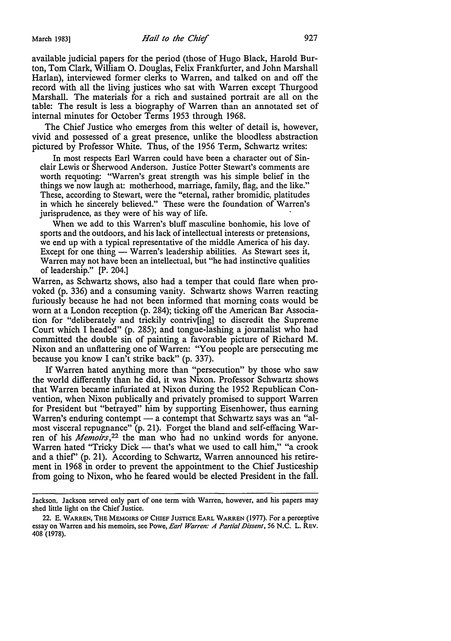available judicial papers for the period (those of Hugo Black, Harold Burton, Tom Clark, William 0. Douglas, Felix Frankfurter, and John Marshall Harlan), interviewed former clerks to Warren, and talked on and off the record with all the living justices who sat with Warren except Thurgood Marshall. The materials for a rich and sustained portrait are all on the table: The result is less a biography of Warren than an annotated set of internal minutes for October Terms 1953 through 1968.

The Chief Justice who emerges from this welter of detail is, however, vivid and possessed of a great presence, unlike the bloodless abstraction pictured by Professor White. Thus, of the 1956 Term, Schwartz writes:

In most respects Earl Warren could have been a character out of Sinclair Lewis or Sherwood Anderson. Justice Potter Stewart's comments are worth requoting: "Warren's great strength was his simple belief in the things we now laugh at: motherhood, marriage, family, flag, and the like." These, according to Stewart, were the "eternal, rather bromidic, platitudes in which he sincerely believed." These were the foundation of Warren's jurisprudence, as they were of his way of life.

When we add to this Warren's bluff masculine bonhomie, his love of sports and the outdoors, and his lack of intellectual interests or pretensions, we end up with a typical representative of the middle America of his day. Except for one thing — Warren's leadership abilities. As Stewart sees it, Warren may not have been an intellectual, but "he had instinctive qualities of leadership." [P. 204.]

Warren, as Schwartz shows, also had a temper that could flare when provoked (p. 336) and a consuming vanity. Schwartz shows Warren reacting furiously because he had not been informed that morning coats would be worn at a London reception (p. 284); ticking off the American Bar Association for "deliberately and trickily contriv[ing] to discredit the Supreme Court which I headed" (p. 285); and tongue-lashing a journalist who had committed the double sin of painting a favorable picture of Richard M. Nixon and an unflattering one of Warren: "You people are persecuting me because you know I can't strike back" (p. 337).

If Warren hated anything more than "persecution" by those who saw the world differently than he did, it was Nixon. Professor Schwartz shows that Warren became infuriated at Nixon during the 1952 Republican Convention, when Nixon publically and privately promised to support Warren for President but "betrayed" him by supporting Eisenhower, thus earning Warren's enduring contempt  $-$  a contempt that Schwartz says was an "almost visceral repugnance" (p. 21). Forget the bland and self-effacing Warren of his *Memoirs, <sup>22</sup>*the man who had no unkind words for anyone. Warren hated "Tricky Dick - that's what we used to call him," "a crook and a thief' (p. 21). According to Schwartz, Warren announced his retirement in 1968 in order to prevent the appointment to the Chief Justiceship from going to Nixon, who he feared would be elected President in the fall.

Jackson. Jackson served only part of one term with Warren, however, and his papers may shed little light on the Chief Justice.

<sup>22.</sup> E. WARREN, THE MEMOIRS OF CHIEF JUSTICE EARL WARREN (1977). For a perceptive essay on Warren and his memoirs, see *Powe,Earl Warren: A Partial JJissenl,* 56 N.C. L. Rev. 408 (1978).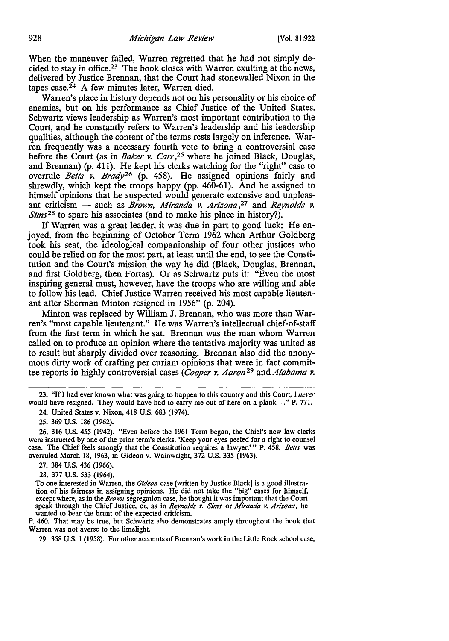When the maneuver failed, Warren regretted that he had not simply decided to stay in office.23 The book closes with Warren exulting at the news, delivered by Justice Brennan, that the Court had stonewalled Nixon in the tapes case.<sup>24</sup> A few minutes later, Warren died.

Warren's place in history depends not on his personality or his choice of enemies, but on his performance as Chief Justice of the United States. Schwartz views leadership as Warren's most important contribution to the Court, and he constantly refers to Warren's leadership and his leadership qualities, although the content of the terms rests largely on inference. Warren frequently was a necessary fourth vote to bring a controversial case before the Court (as in *Baker v. Carr,25* where he joined Black, Douglas, and Brennan) (p. 411). He kept his clerks watching for the "right" case to overrule *Betts v. Brady26* (p. 458). He assigned opinions fairly and shrewdly, which kept the troops happy (pp. 460-61). And he assigned to himself opinions that he suspected would generate extensive and unpleasant criticism - such as *Brown, Miranda v. Arizona*,<sup>27</sup> and *Reynolds v. Sims28* to spare his associates (and to make his place in history?).

If Warren was a great leader, it was due in part to good luck: He enjoyed, from the beginning of October Term 1962 when Arthur Goldberg took his seat, the ideological companionship of four other justices who could be relied on for the most part, at least until the end, to see the Constitution and the Court's mission the way he did (Black, Douglas, Brennan, and first Goldberg, then Fortas). Or as Schwartz puts it: "Even the most inspiring general must, however, have the troops who are willing and able to follow his lead. Chief Justice Warren received his most capable lieutenant after Sherman Minton resigned in 1956" (p. 204).

Minton was replaced by William J. Brennan, who was more than Warren's "most capable lieutenant." He was Warren's intellectual chief-of-staff from the first term in which he sat. Brennan was the man whom Warren called on to produce an opinion where the tentative majority was united as to result but sharply divided over reasoning. Brennan also did the anonymous dirty work of crafting per curiam opinions that were in fact committee reports in highly controversial cases *(Cooper v. Aaron29* and *Alabama v.* 

28. 377 U.S. 533 (1964).

To one interested in Warren, the *Gideon* case (written by Justice Black) is a good illustration of his fairness in assigning opinions. He did not take the "big" cases for himself, except where, as in the *Brown* segregation case, he thought it was important that the Court speak through the Chief Justice, or, as in *Reynolds v. Sims* or *Miranda v. Arizona,* he wanted to bear the brunt of the expected criticism.

P. 460. That may be true, but Schwartz also demonstrates amply throughout the book that Warren was not averse to the limelight.

29. 358 U.S. 1 (1958). For other accounts of Brennan's work in the Little Rock school case,

<sup>23. &</sup>quot;If I had ever known what was going to happen to this country and this Court, I never would have resigned. They would have had to carry me out of here on a plank-"." P. 771.

<sup>24.</sup> United States v. Nixon, 418 U.S. 683 (1974).

<sup>25. 369</sup> U.S. 186 (1962).

<sup>26. 316</sup> U.S. *455* (1942). "Even before the 1961 Term began, the Chiefs new law clerks were instructed by one of the prior term's clerks. 'Keep your eyes peeled for a right to counsel case. The Chief feels strongly that the Constitution requires a lawyer.' " P. 458. *Bells* was overruled March 18, 1963, in Gideon v. Wainwright, 372 U.S. 335 (1963),

<sup>27. 384</sup> U.S. 436 (1966).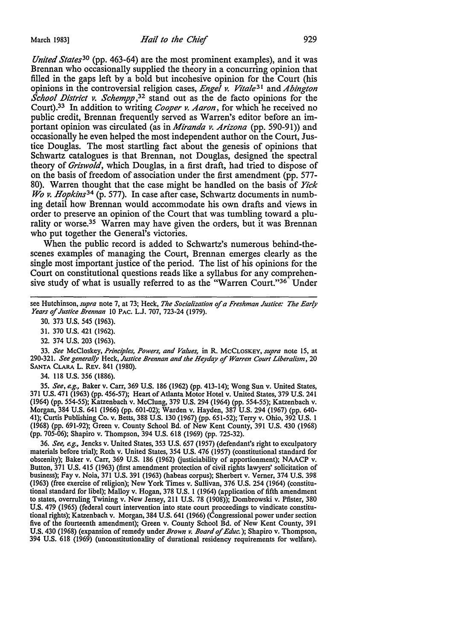*United States30* (pp. 463-64) are the most prominent examples), and it was Brennan who occasionally supplied the theory in a concurring opinion that filled in the gaps left by a bold but incohesive opinion for the Court (his opinions in the controversial religion cases, *Engel v. Vitale*<sup>31</sup> and *Abington School District v. Schempp*,<sup>32</sup> stand out as the de facto opinions for the Court).33 In addition to writing *Cooper v. Aaron,* for which he received no public credit, Brennan frequently served as Warren's editor before an important opinion was circulated (as in *Miranda v. Arizona* (pp. 590-91)) and occasionally he even helped the most independent author on the Court, Justice Douglas. The most startling fact about the genesis of opinions that Schwartz catalogues is that Brennan, not Douglas, designed the spectral theory of *Griswold,* which Douglas, in a first draft, had tried to dispose of on the basis of freedom of association under the first amendment (pp. 577- 80). Warren thought that the case might be handled on the basis of *Yick Wo v. Hopkins34* (p. 577). In case after case, Schwartz documents in numbing detail how Brennan would accommodate his own drafts and views in order to preserve an opinion of the Court that was tumbling toward a plurality or worse.35 Warren may have given the orders, but it was Brennan who put together the General's victories.

When the public record is added to Schwartz's numerous behind-thescenes examples of managing the Court, Brennan emerges clearly as the single most important justice of the period. The list of his opinions for the Court on constitutional questions reads like a syllabus for any comprehensive study of what is usually referred to as the "Warren Court."<sup>36</sup> Under

see Hutchinson, *supra* note 7, at 73; Heck, *The Socialization* of *a Freshman Justice: The Early Years* of *Justice Brennan* lO PAC. LJ. 707, 723-24 (1979).

30. 373 **U.S.** 545 (1963).

31. 370 U.S. 421 (1962).

32. 374 U.S. 203 (1963).

33. *See* McCloskey, *Principles, Powers, and Values,* in R. MCCLOSKEY, *supra* note 15, at 290-321. *See generally* Heck, *Justice Brennan and the Heyday* of *Warren Court Liberalism,* 20 SANTA CLARA L. Rev. 841 (1980).

34. 118 U.S. 356 (1886).

35. *See, e.g.,* Baker v. Carr, 369 U.S. 186 (1962) (pp. 413-14); Wong Sun v. United States, 371 U.S. 471 (1963) (pp. 456-57); Heart of Atlanta Motor Hotel v. United States, 379 U.S. 241 (1964) (pp. 554-55); Katzenbach v. Mcclung, 379 U.S. 294 (1964) (pp. 554-55); Katzenbach v. Morgan, 384 U.S. 641 (1966) (pp. 601-02); Warden v. Hayden, 387 U.S. 294 (1967) (pp. 640- 41); Curtis Publishing Co. v. Betts, 388 U.S. 130 (1967) (pp. 651-52); Terry v. Ohio, 392 U.S. 1 (1968) (pp. 691-92); Green v. County School Bd. of New Kent County, 391 U.S. 430 (1968) (pp. 705-06); Shapiro v. Thompson, 394 U.S. 618 (1969) (pp. 725-32).

36. *See, e.g.,* Jencks v. United States, 353 U.S. 657 (1957) (defendant's right to exculpatory materials before trial); Roth v. United States, 354 U.S. 476 (1957) (constitutional standard for obscenity); Baker v. Carr, 369 U.S. 186 (1962) (justiciability of apportionment); NAACP v. Button, 371 U.S. 415 (1963) (first amendment protection of civil rights lawyers' solicitation of business); Fay v. Noia, 371 U.S. 391 (1963) (habeas corpus); Sherbert v. Verner, 374 U.S. 398 (1963) (free exercise of religion); New York Times v. Sullivan, 376 U.S. 254 (1964) (constitutional standard for libel); Malloy v. Hogan, 378 U.S. 1 (1964) (application of fifth amendment to states, overruling Twining v. New Jersey, 211 U.S. 78 (1908)); Dombrowski v. Pfister, 380 U.S. 479 (1965) (federal court intervention into state court proceedings to vindicate constitutional rights); Katzenbach v. Morgan, 384 U.S. 641 (1966) (Congressional power under section five of the fourteenth amendment); Green v. County School Bd. of New Kent County, 391 U.S. 430 (1968) (expansion of remedy under *Brown v. Board* of *Educ.);* Shapiro v. Thompson, 394 U.S. 618 (1969) (unconstitutionality of durational residency requirements for welfare).